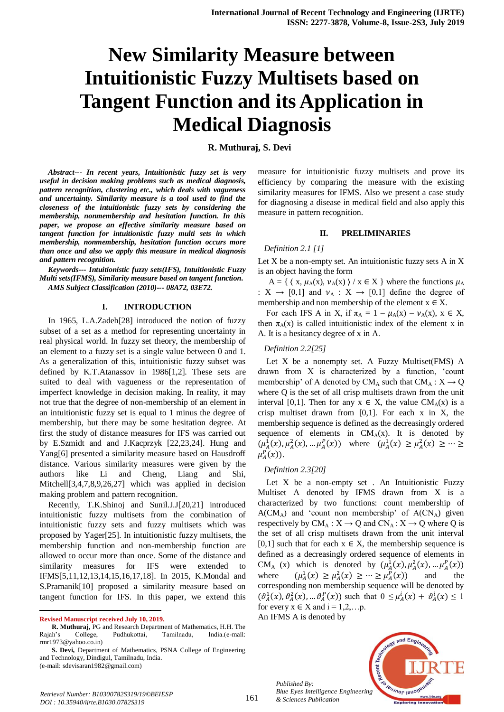# **New Similarity Measure between Intuitionistic Fuzzy Multisets based on Tangent Function and its Application in Medical Diagnosis**

# **R. Muthuraj, S. Devi**

*Abstract--- In recent years, Intuitionistic fuzzy set is very useful in decision making problems such as medical diagnosis, pattern recognition, clustering etc., which deals with vagueness and uncertainty. Similarity measure is a tool used to find the closeness of the intuitionistic fuzzy sets by considering the membership, nonmembership and hesitation function. In this paper, we propose an effective similarity measure based on tangent function for intuitionistic fuzzy multi sets in which membership, nonmembership, hesitation function occurs more than once and also we apply this measure in medical diagnosis and pattern recognition.*

*Keywords--- Intuitionistic fuzzy sets(IFS), Intuitionistic Fuzzy Multi sets(IFMS), Similarity measure based on tangent function. AMS Subject Classification (2010)--- 08A72, 03E72.*

#### **I. INTRODUCTION**

In 1965, L.A.Zadeh[28] introduced the notion of fuzzy subset of a set as a method for representing uncertainty in real physical world. In fuzzy set theory, the membership of an element to a fuzzy set is a single value between 0 and 1. As a generalization of this, intuitionistic fuzzy subset was defined by K.T.Atanassov in 1986[1,2]. These sets are suited to deal with vagueness or the representation of imperfect knowledge in decision making. In reality, it may not true that the degree of non-membership of an element in an intuitionistic fuzzy set is equal to 1 minus the degree of membership, but there may be some hesitation degree. At first the study of distance measures for IFS was carried out by E.Szmidt and and J.Kacprzyk [22,23,24]. Hung and Yang[6] presented a similarity measure based on Hausdroff distance. Various similarity measures were given by the authors like Li and Cheng, Liang and Shi, Mitchell[3,4,7,8,9,26,27] which was applied in decision making problem and pattern recognition.

Recently, T.K.Shinoj and Sunil.J.J[20,21] introduced intuitionistic fuzzy multisets from the combination of intuitionistic fuzzy sets and fuzzy multisets which was proposed by Yager[25]. In intuitionistic fuzzy multisets, the membership function and non-membership function are allowed to occur more than once. Some of the distance and similarity measures for IFS were extended to IFMS[5,11,12,13,14,15,16,17,18]. In 2015, K.Mondal and S.Pramanik[10] proposed a similarity measure based on tangent function for IFS. In this paper, we extend this

**Revised Manuscript received July 10, 2019.**

 $\overline{a}$ 

measure for intuitionistic fuzzy multisets and prove its efficiency by comparing the measure with the existing similarity measures for IFMS. Also we present a case study for diagnosing a disease in medical field and also apply this measure in pattern recognition.

#### **II. PRELIMINARIES**

#### *Definition 2.1 [1]*

Let X be a non-empty set. An intuitionistic fuzzy sets A in X is an object having the form

A = {  $\langle x, \mu_A(x), \nu_A(x) \rangle / x \in X$  } where the functions  $\mu_A$ :  $X \rightarrow [0,1]$  and  $\nu_A : X \rightarrow [0,1]$  define the degree of membership and non membership of the element  $x \in X$ .

For each IFS A in X, if  $\pi_A = 1 - \mu_A(x) - \nu_A(x)$ ,  $x \in X$ , then  $\pi_A(x)$  is called intuitionistic index of the element x in A. It is a hesitancy degree of x in A.

### *Definition 2.2[25]*

Let X be a nonempty set. A Fuzzy Multiset(FMS) A drawn from X is characterized by a function, 'count membership' of A denoted by CM<sub>A</sub> such that CM<sub>A</sub> :  $X \rightarrow Q$ where Q is the set of all crisp multisets drawn from the unit interval [0,1]. Then for any  $x \in X$ , the value  $CM_A(x)$  is a crisp multiset drawn from  $[0,1]$ . For each x in X, the membership sequence is defined as the decreasingly ordered sequence of elements in  $CM_A(x)$ . It is denoted by  $(\mu_A^1(x), \mu_A^2(x), ..., \mu_A^P(x))$  where  $(\mu_A^1(x) \ge \mu_A^2(x))$  $\mu_A^P(x)$ ).

#### *Definition 2.3[20]*

Let X be a non-empty set . An Intuitionistic Fuzzy Multiset A denoted by IFMS drawn from X is a characterized by two functions: count membership of  $A(CM_A)$  and 'count non membership' of  $A(CN_A)$  given respectively by  $CM_A : X \to Q$  and  $CN_A : X \to Q$  where Q is the set of all crisp multisets drawn from the unit interval [0,1] such that for each  $x \in X$ , the membership sequence is defined as a decreasingly ordered sequence of elements in CM<sub>A</sub> (x) which is denoted by  $(\mu_A^1(x), \mu_A^2(x), \dots, \mu_A^p(x))$ where  $\mu_A^1(x) \ge \mu_A^2(x) \ge \cdots \ge \mu_A^P(x)$  and the corresponding non membership sequence will be denoted by  $(\vartheta_A^1(x), \vartheta_A^2(x), \dots \vartheta_A^P(x))$  such that  $0 \leq \mu_A^i(x) + \vartheta_A^i(x) \leq 1$ for every  $x \in X$  and  $i = 1, 2, \dots p$ .

An IFMS A is denoted by



**R. Muthuraj,** PG and Research Department of Mathematics, H.H. The Rajah's College, Pudhukottai, Tamilnadu, India.(e-mail: rmr1973@yahoo.co.in)

**S. Devi,** Department of Mathematics, PSNA College of Engineering and Technology, Dindigul, Tamilnadu, India. (e-mail: sdevisaran1982@gmail.com)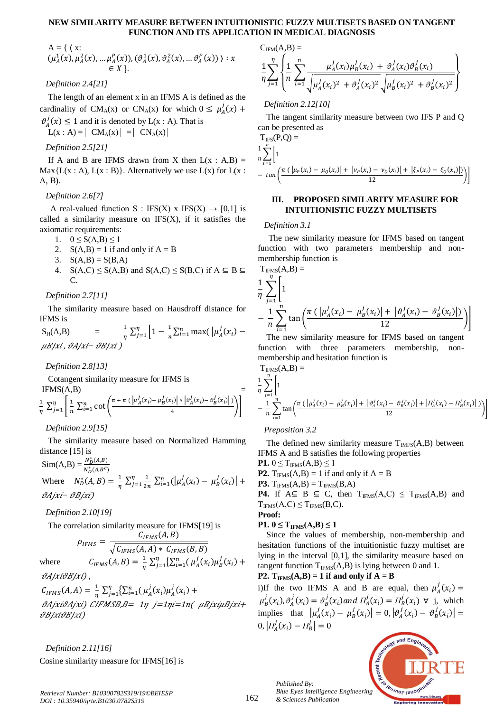#### **NEW SIMILARITY MEASURE BETWEEN INTUITIONISTIC FUZZY MULTISETS BASED ON TANGENT FUNCTION AND ITS APPLICATION IN MEDICAL DIAGNOSIS**

A = { ( x:  
\n
$$
(\mu_A^1(x), \mu_A^2(x), ..., \mu_A^P(x)), (\vartheta_A^1(x), \vartheta_A^2(x), ..., \vartheta_A^P(x)) ) : x \in X }
$$
.

## *Definition 2.4[21]*

The length of an element x in an IFMS A is defined as the cardinality of CM<sub>A</sub>(x) or CN<sub>A</sub>(x) for which  $0 \leq \mu_A^j$ 

 $\vartheta_A^j(x) \le 1$  and it is denoted by L(x : A). That is

 $L(x : A) = \vert CM_A(x) \vert = \vert CN_A(x) \vert$ 

*Definition 2.5[21]*

If A and B are IFMS drawn from X then  $L(x : A,B)$  =  $Max{L(x : A), L(x : B)}$ . Alternatively we use  $L(x)$  for  $L(x : A)$ A, B).

## *Definition 2.6[7]*

A real-valued function S : IFS(X) x IFS(X)  $\rightarrow$  [0,1] is called a similarity measure on  $IFS(X)$ , if it satisfies the axiomatic requirements:

- 1.  $0 \le S(A,B) \le 1$
- 2.  $S(A,B) = 1$  if and only if  $A = B$
- 3.  $S(A,B) = S(B,A)$
- 4.  $S(A,C) \leq S(A,B)$  and  $S(A,C) \leq S(B,C)$  if  $A \subseteq B \subseteq$  $C_{\cdot}$

*Definition 2.7[11]*

The similarity measure based on Hausdroff distance for IFMS is

$$
S_H(A,B) = \frac{1}{\eta} \sum_{j=1}^{\eta} \left[ 1 - \frac{1}{n} \sum_{i=1}^{n} \max\left( \left| \mu_A^j(x_i) - \mu B_j^j x_i \right|, \vartheta_B^j x_i \right) \right]
$$

*Definition 2.8[13]*

Cotangent similarity measure for IFMS is

$$
\frac{1}{\eta} \sum_{j=1}^{\eta} \left[ \frac{1}{n} \sum_{i=1}^{n} \cot \left( \frac{\pi + \pi \left( \left| \mu_A^j(x_i) - \mu_B^j(x_i) \right| \vee \left| \vartheta_A^j(x_i) - \vartheta_B^j(x_i) \right| \right)}{4} \right) \right]
$$

*Definition 2.9[15]*

The similarity measure based on Normalized Hamming distance [15] is

 $\text{Sim}(A, B) = \frac{N_D^*(B)}{N^*(B)}$  $N_D^*$ Where  $N_D^*(A, B) = \frac{1}{n}$  $\frac{1}{\eta} \sum_{j=1}^{\eta} \frac{1}{2n}$  $\int_{j=1}^{\eta} \frac{1}{2n} \sum_{i=1}^{n} (|\mu_A^j(x_i) - \mu_B^j(x_i)|)$ j *∂Ajxi*− ∂Bjxi)

## *Definition 2.10[19]*

The correlation similarity measure for IFMS[19] is

$$
\rho_{IFMS} = \frac{C_{IFMS}(A, B)}{\sqrt{C_{IFMS}(A, A) * C_{IFMS}(B, B)}}
$$

$$
C_{IFMS}(A, B) = \frac{1}{\eta} \sum_{j=1}^{\eta} \{ \sum_{i=1}^{n} (\mu_{A}^{j}(x_{i}) \mu_{B}^{j}(x_{i}))
$$

j

where  $\vartheta$ Ajxi $\vartheta$ Bjxi),

 $C_{IFMS}(A, A) = \frac{1}{n}$  $\frac{1}{\eta} \sum_{j=1}^{\eta} {\sum_{i=1}^{n} (\mu_A^j(x_i) \mu_A^j(x_i))}$ j  $\partial A$ jxi $\partial A$ jxi) CIFMSB,B= 1 $\eta$  j=1 $\eta$ i=1 $n$ (  $\mu$ Bjxi $\mu$ Bjxi+ **θΒ**jxiθΒjxi)

*Definition 2.11[16]* Cosine similarity measure for IFMS[16] is  $C<sub>IFM</sub>(A,B) =$ 

$$
\frac{1}{\eta} \sum_{j=1}^{\eta} \left\{ \frac{1}{n} \sum_{i=1}^{n} \frac{\mu_A^j(x_i) \mu_B^j(x_i) + \vartheta_A^j(x_i) \vartheta_B^j(x_i)}{\sqrt{\mu_A^j(x_i)^2 + \vartheta_A^j(x_i)^2} \sqrt{\mu_B^j(x_i)^2 + \vartheta_B^j(x_i)^2}} \right\}
$$

*Definition 2.12[10]*

The tangent similarity measure between two IFS P and Q can be presented as

$$
T_{\text{IFS}}(P,Q) =
$$
  
\n
$$
\frac{1}{n} \sum_{i=1}^{n} \left[ 1 - \tan \left( \frac{\pi (\left| \mu_P(x_i) - \mu_Q(x_i) \right| + \left| \nu_P(x_i) - \nu_Q(x_i) \right| + \left| \xi_P(x_i) - \xi_Q(x_i) \right| \right)}{12} \right) \right]
$$

#### **III. PROPOSED SIMILARITY MEASURE FOR INTUITIONISTIC FUZZY MULTISETS**

#### *Definition 3.1*

The new similarity measure for IFMS based on tangent function with two parameters membership and nonmembership function is  $(AB) =$ 

$$
\frac{1}{\eta} \sum_{j=1}^{\eta} \left[ 1 - \frac{1}{n} \sum_{i=1}^{n} \left( 1 - \frac{1}{n} \sum_{i=1}^{n} \tan \left( \frac{\pi (\left| \mu_A^j(x_i) - \mu_B^j(x_i) \right| + \left| \vartheta_A^j(x_i) - \vartheta_B^j(x_i) \right|)}{12} \right) \right) \right]
$$

The new similarity measure for IFMS based on tangent function with three parameters membership, nonmembership and hesitation function is

$$
T_{IFMS}(A,B) =
$$
\n
$$
\frac{1}{\eta} \sum_{j=1}^{\eta} \left[ 1 - \frac{1}{n} \sum_{i=1}^{n} \left[ \tan \left( \frac{\pi (\left| \mu_A^j(x_i) - \mu_B^j(x_i) \right| + \left| \vartheta_A^j(x_i) - \vartheta_B^j(x_i) \right| + \left| \varPi_A^j(x_i) - \varPi_B^j(x_i) \right| \right)}{12} \right) \right]
$$

*Preposition 3.2*

The defined new similarity measure  $T_{MFS}(A,B)$  between IFMS A and B satisfies the following properties

**P1.**  $0 \le T_{IFMS}(A,B) \le 1$ **P2.**  $T_{IFMS}(A, B) = 1$  if and only if  $A = B$ **P3.**  $T_{IFMS}(A,B) = T_{IFMS}(B,A)$ **P4.** If  $A ⊆ B ⊆ C$ , then  $T_{IFMS}(A,C) ≤ T_{IFMS}(A,B)$  and  $T_{IFMS}(A, C) \leq T_{IFMS}(B, C).$ **Proof:**

## **P1.** 0 ≤  $T_{IFMS}(A,B)$  ≤ 1

Since the values of membership, non-membership and hesitation functions of the intuitionistic fuzzy multiset are lying in the interval [0,1], the similarity measure based on tangent function  $T_{\text{IFMS}}(A,B)$  is lying between 0 and 1.

# **P2.**  $T_{IFMS}(A,B) = 1$  if and only if  $A = B$

i)If the two IFMS A and B are equal, then  $\mu_A^j(x_i)$  $\mu_R^j(x_i), \vartheta_A^j(x_i) = \vartheta_R^j(x_i)$  and  $\Pi_A^j(x_i) = \Pi_R^j(x_i) \ \forall \ j$ , which implies that  $|\mu_a^j(x_i) - \mu_B^j(x_i)| = 0, |\vartheta_a^j(x_i) - \vartheta_B^j(x_i)|$ 0,  $| \Pi_{A}^{j}(x_i) - \Pi_{B}^{j}|$ 

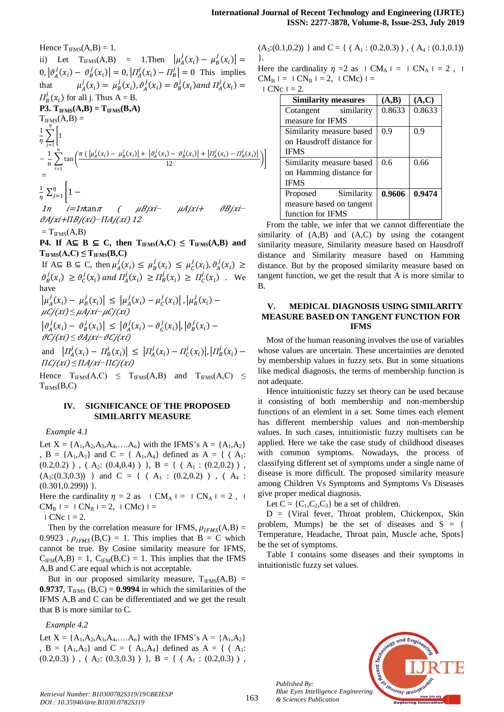Hence  $T_{\text{IFMS}}(A,B) = 1$ . ii) Let  $T_{\text{IFMS}}(A,B) = 1$ . Then  $\mu_A^j(x_i) - \mu_B^j(x_i)$  $0, |\vartheta_A^j(x_i) - \vartheta_B^j(x_i)| = 0, |\Pi_A^j(x_i) - \Pi_B^j| = 0$  This implies that  $\mu_A^j(x_i) = \mu_B^j(x_i), \vartheta_A^j(x_i) = \vartheta_B^j(x_i)$  and  $\Pi_A^j(x_i)$  $\Pi_B^j(x_i)$  for all j. Thus  $A = B$ .  $P3. T_{IFMS}(A,B) = T_{IFMS}(B,A)$  $T_{IFMS}(A,B) =$  $\mathbf{1}$  $\frac{1}{\eta}$   $\sum$ η j  $-\frac{1}{x}$  $\frac{1}{n}\sum_{i=1}^{n}\tan\left(\frac{\pi(\left|\mu_{A}^{j}(x_{i})-\mu_{B}^{j}(x_{i})\right|+\left|\vartheta_{A}^{j}(x_{i})-\vartheta_{B}^{j}(x_{i})\right|+\left|\varPi_{A}^{j}(x_{i})-\varPi_{B}^{j}(x_{i})\right|}{12}\right))$  $\mathbf{1}$  $\boldsymbol{n}$ i I =  $\mathbf{1}$  $\frac{1}{\eta} \sum_{j}^{\eta}$ }.

1*n i*=1*n*tan*π* ( *μBjxi + μAjxi + θBjxi*  $\frac{\partial A}{\partial i}$  **i** +  $\frac{\Pi B}{i}(xi)$  −  $\frac{\Pi A}{i}(xi)$  12

 $=T_{IFMS}(A,B)$ 

j

**P4. If**  $A ⊆ B ⊆ C$ , then  $T_{IFMS}(A, C) ≤ T_{IFMS}(A, B)$  and  $T_{IFMS}(A, C) \leq T_{IFMS}(B, C)$ 

If A⊆ B ⊆ C, then  $\mu_A^j(x_i) \leq \mu_B^j(x_i) \leq \mu_C^j(x_i), \vartheta_A^j(x_i)$  $\vartheta_B^j(x_i) \ge \vartheta_C^j(x_i)$  and  $\Pi_A^j(x_i) \ge \Pi_B^j(x_i) \ge \Pi_C^j(x_i)$ . We have **Contract Contract Street** 

$$
\left| \mu_A^j(x_i) - \mu_B^j(x_i) \right| \le \left| \mu_A^j(x_i) - \mu_C^j(x_i) \right|, \left| \mu_B^j(x_i) - \mu_C^j(x_i) \right| \le \mu A j x i - \mu C j(x i)
$$
\n
$$
\left| \vartheta_A^j(x_i) - \vartheta_B^j(x_i) \right| \le \left| \vartheta_A^j(x_i) - \vartheta_C^j(x_i) \right|, \left| \vartheta_B^j(x_i) - \vartheta_C^j(x_i) \right|
$$

*vCj(xi)≤ vAjxi-vCj(xi)* and  $| \Pi_A^j(x_i) - \Pi_B^j(x_i) | \leq | \Pi_A^j(x_i) - \Pi_C^j(x_i) |, | \Pi_B^j(x_i)$  $\Pi$ *Cj*(xi) ≤  $\Pi$ *Ajxi*– $\Pi$ *Cj*(xi)

Hence  $T_{IFMS}(A, C) \leq T_{IFMS}(A, B)$  and  $T_{IFMS}(A, C) \leq$  $T_{IFMS}(B,C)$ 

#### **IV. SIGNIFICANCE OF THE PROPOSED SIMILARITY MEASURE**

*Example 4.1*

Let  $X = \{A_1, A_2, A_3, A_4, \dots, A_n\}$  with the IFMS's  $A = \{A_1, A_2\}$ ,  $B = \{A_1, A_3\}$  and  $C = \{A_1, A_4\}$  defined as  $A = \{ \langle A_1 : A_2 \rangle\}$  $(0.2,0.2)$ ),  $\langle A_2: (0.4,0.4) \rangle$ ,  $B = \{ \langle A_1: (0.2,0.2) \rangle$ ,  $(A_3:(0.3,0.3))$  } and C = { ( A<sub>1</sub> : (0.2,0.2) ), ( A<sub>4</sub> :  $(0.301, 0.299)$  }.

Here the cardinality  $\eta = 2$  as  $\Box$  CM<sub>A</sub>  $\Box$  CN<sub>A</sub>  $\Box$  = 2,  $\Box$  $CM_B$   $=$   $\mid CN_B$   $=$   $=$   $2$ ,  $\mid CM_C$   $=$ 

 $CNe = 2$ .

Then by the correlation measure for IFMS,  $\rho_{IFMS}(A,B) =$ 0.9923,  $\rho_{IFMS}(B,C) = 1$ . This implies that  $B = C$  which cannot be true. By Cosine similarity measure for IFMS,  $C_{IFM}(A,B) = 1$ ,  $C_{IFM}(B,C) = 1$ . This implies that the IFMS A,B and C are equal which is not acceptable.

But in our proposed similarity measure,  $T_{IFMS}(A,B)$  = **0.9737,**  $T_{IFMS}$  (B,C) = **0.9994** in which the similarities of the IFMS A,B and C can be differentiated and we get the result that B is more similar to C.

*Example 4.2* 

Let  $X = \{A_1, A_2, A_3, A_4, \dots, A_n\}$  with the IFMS's  $A = \{A_1, A_2\}$ ,  $B = \{A_1, A_3\}$  and  $C = \{A_1, A_4\}$  defined as  $A = \{ \langle A_1 : A_2 \rangle\}$  $(0.2,0.3)$   $\}$ ,  $\langle$  A<sub>2</sub>:  $(0.3,0.3)$   $\rangle$   $\}$ , B = {  $\langle$  A<sub>1</sub> :  $(0.2,0.3)$   $\rangle$ ,  $\langle A_3:(0.1,0.2)\rangle$  } and  $C = \{\langle A_1:(0.2,0.3)\rangle, \langle A_4:(0.1,0.1)\rangle\}$ 

Here the cardinality  $\eta = 2$  as  $\mid CM_A \mid = \mid CN_A \mid = 2$ ,  $\mid$  $CM_B$   $=$   $\mid CN_B$   $=$   $=$   $2$ ,  $\mid CM_C$   $=$  $CNe_1 = 2$ 

| <b>Similarity measures</b> | (A,B)  | (A,C)  |
|----------------------------|--------|--------|
| Cotangent similarity       | 0.8633 | 0.8633 |
| measure for IFMS           |        |        |
| Similarity measure based   | 0.9    | 0.9    |
| on Hausdroff distance for  |        |        |
| <b>IFMS</b>                |        |        |
| Similarity measure based   | 0.6    | 0.66   |
| on Hamming distance for    |        |        |
| <b>IFMS</b>                |        |        |
| Similarity<br>Proposed     | 0.9606 | 0.9474 |
| measure based on tangent   |        |        |
| function for IFMS          |        |        |

From the table, we infer that we cannot differentiate the similarity of (A,B) and (A,C) by using the cotangent similarity measure, Similarity measure based on Hausdroff distance and Similarity measure based on Hamming distance. But by the proposed similarity measure based on tangent function, we get the result that A is more similar to B.

# **V. MEDICAL DIAGNOSIS USING SIMILARITY MEASURE BASED ON TANGENT FUNCTION FOR IFMS**

Most of the human reasoning involves the use of variables whose values are uncertain. These uncertainties are denoted by membership values in fuzzy sets. But in some situations like medical diagnosis, the terms of membership function is not adequate.

Hence intuitionistic fuzzy set theory can be used because it consisting of both membership and non-membership functions of an elemlent in a set. Some times each element has different membership values and non-membership values. In such cases, intuitionistic fuzzy multisets can be applied. Here we take the case study of childhood diseases with common symptoms. Nowadays, the process of classifying different set of symptoms under a single name of disease is more difficult. The proposed similarity measure among Children Vs Symptoms and Symptoms Vs Diseases give proper medical diagnosis.

Let  $C = \{C_1, C_2, C_3\}$  be a set of children.

 $D = \{V \text{iral fever}, \text{Thread problem}, \text{Chicago}, \text{skin}\}$ problem, Mumps} be the set of diseases and  $S = \{$ Temperature, Headache, Throat pain, Muscle ache, Spots} be the set of symptoms.

Table 1 contains some diseases and their symptoms in intuitionistic fuzzy set values.



*Published By:*

*& Sciences Publication*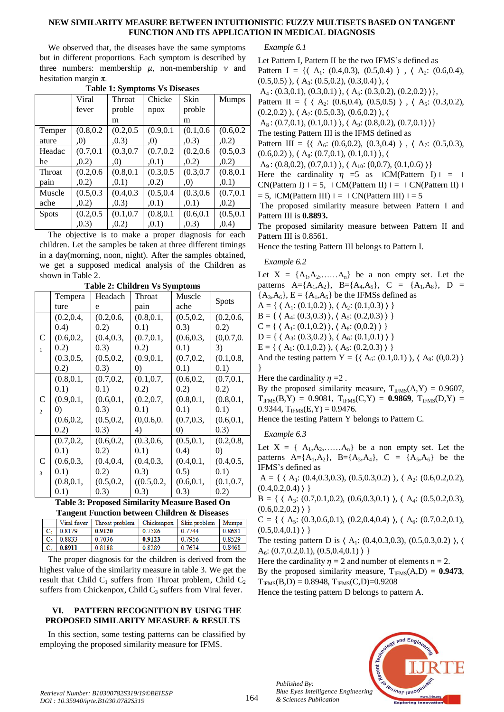#### **NEW SIMILARITY MEASURE BETWEEN INTUITIONISTIC FUZZY MULTISETS BASED ON TANGENT FUNCTION AND ITS APPLICATION IN MEDICAL DIAGNOSIS**

We observed that, the diseases have the same symptoms but in different proportions. Each symptom is described by three numbers: membership  $\mu$ , non-membership  $\nu$  and hesitation margin π.

| rapic 1. by hiptoms vs Discases |            |            |            |            |              |
|---------------------------------|------------|------------|------------|------------|--------------|
|                                 | Viral      | Throat     | Chicke     | Skin       | <b>Mumps</b> |
|                                 | fever      | proble     | npox       | proble     |              |
|                                 |            | m          |            | m          |              |
| Temper                          | (0.8, 0.2) | (0.2, 0.5) | (0.9, 0.1) | (0.1, 0.6) | (0.6, 0.2)   |
| ature                           | (0,        | ,0.3)      | (0,        | ,0.3)      | ,0.2)        |
| Headac                          | (0.7, 0.1) | (0.3, 0.7) | (0.7, 0.2) | (0.2, 0.6) | (0.5, 0.3)   |
| he                              | , 0.2)     | (0,        | , 0.1)     | ,0.2)      | ,0.2)        |
| Throat                          | (0.2, 0.6) | (0.8, 0.1) | (0.3, 0.5) | (0.3, 0.7) | (0.8, 0.1)   |
| pain                            | ,0.2)      | ,0.1)      | ,0.2)      | (0,        | ,0.1)        |
| Muscle                          | (0.5, 0.3) | (0.4, 0.3) | (0.5, 0.4) | (0.3, 0.6) | (0.7, 0.1)   |
| ache                            | ,0.2)      | ,0.3)      | , 0.1)     | ,0.1)      | ,0.2)        |
| <b>Spots</b>                    | (0.2, 0.5) | (0.1, 0.7) | (0.8, 0.1) | (0.6, 0.1) | (0.5, 0.1)   |
|                                 | (0.3)      | ,0.2)      | ,0.1)      | ,0.3)      | ,0.4)        |

**Table 1: Symptoms Vs Diseases**

The objective is to make a proper diagnosis for each children. Let the samples be taken at three different timings in a day(morning, noon, night). After the samples obtained, we get a supposed medical analysis of the Children as shown in Table 2.

|                | Tempera           | Headach    | Throat            | Muscle            |                   |
|----------------|-------------------|------------|-------------------|-------------------|-------------------|
|                | ture              | e          | pain              | ache              | <b>Spots</b>      |
|                | (0.2, 0.4,        | (0.2, 0.6, | (0.8, 0.1,        | (0.5, 0.2,        | (0.2, 0.6,        |
|                | (0.4)             | 0.2)       | 0.1)              | (0.3)             | 0.2)              |
| C              | (0.6, 0.2,        | (0.4, 0.3, | (0.7, 0.1,        | (0.6, 0.3,        | (0,0.7,0.         |
| $\mathbf{1}$   | 0.2)              | (0.3)      | 0.2)              | 0.1)              | 3)                |
|                | (0.3, 0.5,        | (0.5, 0.2, | (0.9, 0.1,        | (0.7, 0.2,        | (0.1, 0.8,        |
|                | 0.2)              | (0.3)      | $\left( 0\right)$ | 0.1)              | 0.1)              |
|                | (0.8, 0.1,        | (0.7, 0.2, | (0.1, 0.7,        | (0.6, 0.2,        | (0.7, 0.1,        |
|                | 0.1)              | 0.1)       | 0.2)              | 0.2)              | 0.2)              |
| C              | (0.9, 0.1,        | (0.6, 0.1, | (0.2, 0.7,        | (0.8, 0.1,        | (0.8, 0.1,        |
| $\overline{2}$ | $\left( 0\right)$ | (0.3)      | 0.1)              | 0.1)              | 0.1)              |
|                | (0.6, 0.2,        | (0.5, 0.2, | (0,0.6,0.         | (0.7, 0.3,        | (0.6, 0.1,        |
|                | 0.2)              | (0.3)      | 4)                | $\left( 0\right)$ | (0.3)             |
|                | (0.7, 0.2,        | (0.6, 0.2, | (0.3, 0.6,        | (0.5, 0.1,        | (0.2, 0.8,        |
|                | 0.1)              | 0.2)       | 0.1)              | (0.4)             | $\left( 0\right)$ |
| C              | (0.6, 0.3,        | (0.4, 0.4, | (0.4, 0.3,        | (0.4, 0.1,        | (0.4, 0.5,        |
| 3              | 0.1)              | 0.2)       | (0.3)             | (0.5)             | 0.1)              |
|                | (0.8, 0.1,        | (0.5, 0.2, | ((0.5, 0.2,       | (0.6, 0.1,        | (0.1, 0.7,        |
|                | 0.1)              | (0.3)      | (0.3)             | (0.3)             | 0.2)              |

**Table 2: Children Vs Symptoms**

| Table 3: Proposed Similarity Measure Based On           |  |
|---------------------------------------------------------|--|
| <b>Tangent Function between Children &amp; Diseases</b> |  |

|                | Viral fever | Throat problem | Chickenpox | Skin problem | Mumps  |
|----------------|-------------|----------------|------------|--------------|--------|
|                | 0.8179      | 0.9120         | 0.7586     | 0.7744       | 0.8681 |
| $\mathbb{C}_2$ | 0.8833      | 0.7036         | 0.9123     | 0.7956       | 0.8529 |
| С3.            | 0.8911      | 0.8188         | 0.8289     | 0.7634       | 0.8468 |
|                |             |                |            |              |        |

The proper diagnosis for the children is derived from the highest value of the similarity measure in table 3. We get the result that Child  $C_1$  suffers from Throat problem, Child  $C_2$ suffers from Chickenpox, Child  $C_3$  suffers from Viral fever.

# **VI. PATTERN RECOGNITION BY USING THE PROPOSED SIMILARITY MEASURE & RESULTS**

In this section, some testing patterns can be classified by employing the proposed similarity measure for IFMS.

*Example 6.1*

Let Pattern I, Pattern II be the two IFMS's defined as Pattern I = { $\langle A_1: (0.4, 0.3), (0.5, 0.4) \rangle$ ,  $\langle A_2: (0.6, 0.4),$  $(0.5,0.5)$ ,  $\langle A_3: (0.5,0.2), (0.3,0.4) \rangle$ ,  $\langle$ 

A<sub>4</sub>:  $(0.3,0.1), (0.3,0.1), (A<sub>5</sub>; (0.3,0.2), (0.2,0.2))$ ,

Pattern II = {  $\langle A_2: (0.6, 0.4), (0.5, 0.5) \rangle$ ,  $\langle A_5: (0.3, 0.2),$ 

 $(0.2,0.2)$   $\}, \langle A_7: (0.5,0.3), (0.6,0.2) \rangle, \langle$ 

 $A_8$ : (0.7,0.1), (0.1,0.1) ),  $\langle A_9$ : (0.8,0.2), (0.7,0.1) )}

The testing Pattern III is the IFMS defined as

Pattern III = { $\langle A_6: (0.6, 0.2), (0.3, 0.4) \rangle$ ,  $\langle A_7: (0.5, 0.3),$  $(0.6, 0.2)$   $\}, \{A_8: (0.7, 0.1), (0.1, 0.1) \}, \{$ 

A<sub>9</sub>: (0.8, 0.2), (0.7, 0.1) ),  $\{A_{10}:(0, 0.7),(0.1, 0.6)\}\}$ 

Here the cardinality  $\eta = 5$  as ICM(Pattern I) = 1  $CN(Patten I)$  = 5, CM(Pattern II) =  $\text{CN(Patten II)}$  =  $= 5$ , ICM(Pattern III)  $= 1$  CN(Pattern III)  $= 5$ 

The proposed similarity measure between Pattern I and Pattern III is **0.8893.**

The proposed similarity measure between Pattern II and Pattern III is 0.8561.

Hence the testing Pattern III belongs to Pattern I.

# *Example 6.2*

Let  $X = \{A_1, A_2, \ldots, A_n\}$  be a non empty set. Let the patterns  $A = \{A_1, A_2\}$ ,  $B = \{A_4, A_5\}$ ,  $C = \{A_1, A_8\}$ ,  $D =$  ${A_3, A_6}$ ,  $E = {A_1, A_5}$  be the IFMSs defined as  $A = \{ \langle A_1: (0.1, 0.2) \rangle, \langle A_2: (0.1, 0.3) \rangle \}$  $B = \{ \langle A_4: (0.3, 0.3), \langle A_5: (0.2, 0.3), \rangle \}$  $C = \{ \langle A_1: (0.1, 0.2) \rangle, \langle A_8: (0, 0.2) \rangle \}$  $D = \{ \langle A_3: (0.3, 0.2) \rangle, \langle A_6: (0.1, 0.1) \rangle \}$  $E = \{ \langle A_1: (0.1, 0.2) \rangle, \langle A_5: (0.2, 0.3) \rangle \}$ And the testing pattern Y = { $\{A_6: (0.1, 0.1), (A_8: (0, 0.2))\}$ }

Here the cardinality  $\eta = 2$ .

By the proposed similarity measure,  $T_{\text{IFMS}}(A, Y) = 0.9607$ ,  $T_{IFMS}(B,Y) = 0.9081$ ,  $T_{IFMS}(C,Y) = 0.9869$ ,  $T_{IFMS}(D,Y) =$ 0.9344,  $T_{IFMS}(E, Y) = 0.9476$ .

Hence the testing Pattern Y belongs to Pattern C.

*Example 6.3*

Let  $X = \{A_1, A_2, \ldots, A_n\}$  be a non empty set. Let the patterns  $A = \{A_1, A_2\}$ ,  $B = \{A_3, A_4\}$ ,  $C = \{A_5, A_6\}$  be the IFMS's defined as

A = {  $\{ A_1: (0.4, 0.3, 0.3), (0.5, 0.3, 0.2) \}, \{ A_2: (0.6, 0.2, 0.2), \}$  $(0.4, 0.2, 0.4)$ }

 $B = \{ (A_3: (0.7, 0.1, 0.2), (0.6, 0.3, 0.1), (A_4: (0.5, 0.2, 0.3),$  $(0.6, 0.2, 0.2)$ }

 $C = \{ \langle A_5: (0.3, 0.6, 0.1), (0.2, 0.4, 0.4) \rangle, \langle A_6: (0.7, 0.2, 0.1), \rangle \}$  $(0.5, 0.4, 0.1)$ }

The testing pattern D is  $\langle A_1: (0.4, 0.3, 0.3), (0.5, 0.3, 0.2) \rangle$ ,  $\langle A_2: (0.4, 0.3, 0.3), (0.5, 0.3, 0.2) \rangle$ A<sub>6</sub>:  $(0.7, 0.2, 0.1), (0.5, 0.4, 0.1)$  }

Here the cardinality  $\eta = 2$  and number of elements n = 2.

By the proposed similarity measure,  $T_{IFMS}(A, D) = 0.9473$ ,  $T_{IFMS}(B,D) = 0.8948, T_{IFMS}(C,D)=0.9208$ 

Hence the testing pattern D belongs to pattern A.



*Published By:*

*& Sciences Publication*